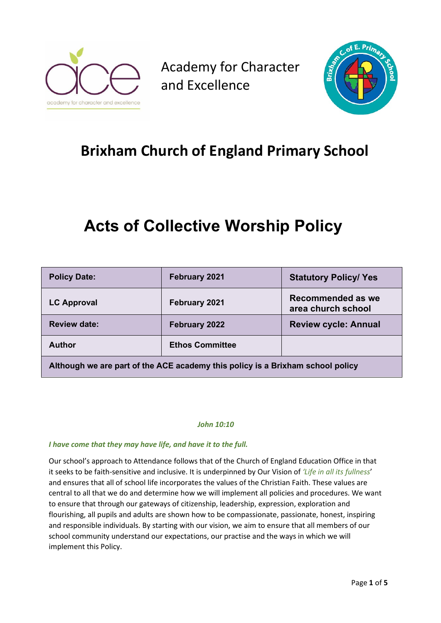

Academy for Character and Excellence



## **Brixham Church of England Primary School**

# **Acts of Collective Worship Policy**

| <b>Policy Date:</b>                                                            | February 2021          | <b>Statutory Policy/ Yes</b>            |  |
|--------------------------------------------------------------------------------|------------------------|-----------------------------------------|--|
| <b>LC Approval</b>                                                             | February 2021          | Recommended as we<br>area church school |  |
| <b>Review date:</b>                                                            | February 2022          | <b>Review cycle: Annual</b>             |  |
| <b>Author</b>                                                                  | <b>Ethos Committee</b> |                                         |  |
| Although we are part of the ACE academy this policy is a Brixham school policy |                        |                                         |  |

#### *John 10:10*

#### *I have come that they may have life, and have it to the full.*

Our school's approach to Attendance follows that of the Church of England Education Office in that it seeks to be faith-sensitive and inclusive. It is underpinned by Our Vision of *'Life in all its fullness*' and ensures that all of school life incorporates the values of the Christian Faith. These values are central to all that we do and determine how we will implement all policies and procedures. We want to ensure that through our gateways of citizenship, leadership, expression, exploration and flourishing, all pupils and adults are shown how to be compassionate, passionate, honest, inspiring and responsible individuals. By starting with our vision, we aim to ensure that all members of our school community understand our expectations, our practise and the ways in which we will implement this Policy.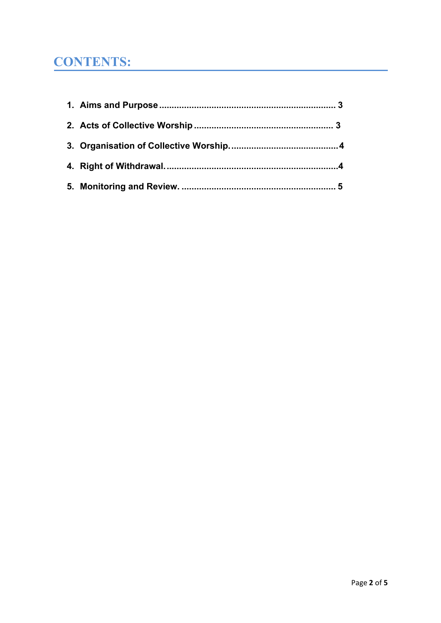## **CONTENTS:**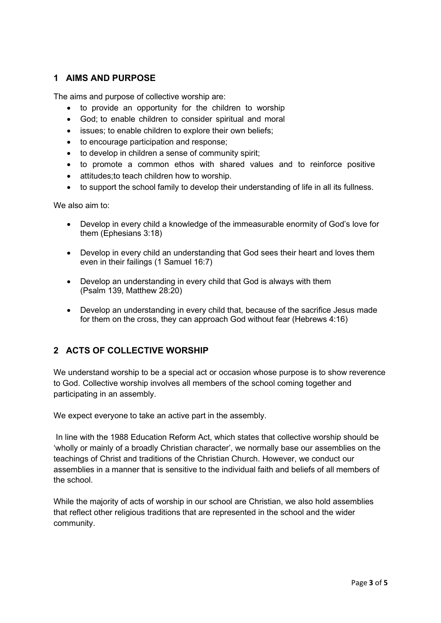### **1 AIMS AND PURPOSE**

The aims and purpose of collective worship are:

- to provide an opportunity for the children to worship
- God; to enable children to consider spiritual and moral
- issues; to enable children to explore their own beliefs;
- to encourage participation and response;
- to develop in children a sense of community spirit;
- to promote a common ethos with shared values and to reinforce positive
- attitudes;to teach children how to worship.
- to support the school family to develop their understanding of life in all its fullness.

We also aim to:

- Develop in every child a knowledge of the immeasurable enormity of God's love for them (Ephesians 3:18)
- Develop in every child an understanding that God sees their heart and loves them even in their failings (1 Samuel 16:7)
- Develop an understanding in every child that God is always with them (Psalm 139, Matthew 28:20)
- Develop an understanding in every child that, because of the sacrifice Jesus made for them on the cross, they can approach God without fear (Hebrews 4:16)

### **2 ACTS OF COLLECTIVE WORSHIP**

We understand worship to be a special act or occasion whose purpose is to show reverence to God. Collective worship involves all members of the school coming together and participating in an assembly.

We expect everyone to take an active part in the assembly.

In line with the 1988 Education Reform Act, which states that collective worship should be 'wholly or mainly of a broadly Christian character', we normally base our assemblies on the teachings of Christ and traditions of the Christian Church. However, we conduct our assemblies in a manner that is sensitive to the individual faith and beliefs of all members of the school.

While the majority of acts of worship in our school are Christian, we also hold assemblies that reflect other religious traditions that are represented in the school and the wider community.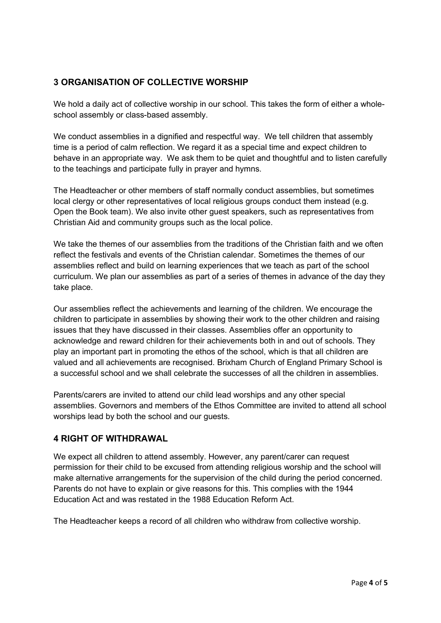### **3 ORGANISATION OF COLLECTIVE WORSHIP**

We hold a daily act of collective worship in our school. This takes the form of either a wholeschool assembly or class-based assembly.

We conduct assemblies in a dignified and respectful way. We tell children that assembly time is a period of calm reflection. We regard it as a special time and expect children to behave in an appropriate way. We ask them to be quiet and thoughtful and to listen carefully to the teachings and participate fully in prayer and hymns.

The Headteacher or other members of staff normally conduct assemblies, but sometimes local clergy or other representatives of local religious groups conduct them instead (e.g. Open the Book team). We also invite other guest speakers, such as representatives from Christian Aid and community groups such as the local police.

We take the themes of our assemblies from the traditions of the Christian faith and we often reflect the festivals and events of the Christian calendar. Sometimes the themes of our assemblies reflect and build on learning experiences that we teach as part of the school curriculum. We plan our assemblies as part of a series of themes in advance of the day they take place.

Our assemblies reflect the achievements and learning of the children. We encourage the children to participate in assemblies by showing their work to the other children and raising issues that they have discussed in their classes. Assemblies offer an opportunity to acknowledge and reward children for their achievements both in and out of schools. They play an important part in promoting the ethos of the school, which is that all children are valued and all achievements are recognised. Brixham Church of England Primary School is a successful school and we shall celebrate the successes of all the children in assemblies.

Parents/carers are invited to attend our child lead worships and any other special assemblies. Governors and members of the Ethos Committee are invited to attend all school worships lead by both the school and our guests.

#### **4 RIGHT OF WITHDRAWAL**

We expect all children to attend assembly. However, any parent/carer can request permission for their child to be excused from attending religious worship and the school will make alternative arrangements for the supervision of the child during the period concerned. Parents do not have to explain or give reasons for this. This complies with the 1944 Education Act and was restated in the 1988 Education Reform Act.

The Headteacher keeps a record of all children who withdraw from collective worship.